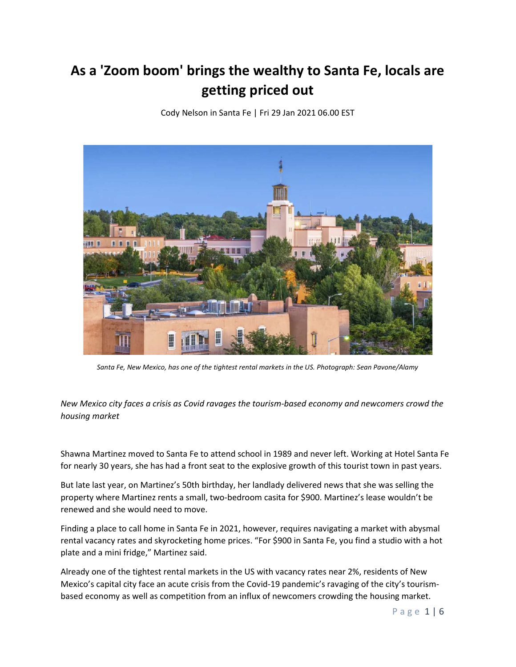## As a 'Zoom boom' brings the wealthy to Santa Fe, locals are getting priced out

Cody Nelson in Santa Fe | Fri 29 Jan 2021 06.00 EST



Santa Fe, New Mexico, has one of the tightest rental markets in the US. Photograph: Sean Pavone/Alamy

New Mexico city faces a crisis as Covid ravages the tourism-based economy and newcomers crowd the housing market

Shawna Martinez moved to Santa Fe to attend school in 1989 and never left. Working at Hotel Santa Fe for nearly 30 years, she has had a front seat to the explosive growth of this tourist town in past years.

But late last year, on Martinez's 50th birthday, her landlady delivered news that she was selling the property where Martinez rents a small, two-bedroom casita for \$900. Martinez's lease wouldn't be renewed and she would need to move.

Finding a place to call home in Santa Fe in 2021, however, requires navigating a market with abysmal rental vacancy rates and skyrocketing home prices. "For \$900 in Santa Fe, you find a studio with a hot plate and a mini fridge," Martinez said.

Already one of the tightest rental markets in the US with vacancy rates near 2%, residents of New Mexico's capital city face an acute crisis from the Covid-19 pandemic's ravaging of the city's tourismbased economy as well as competition from an influx of newcomers crowding the housing market.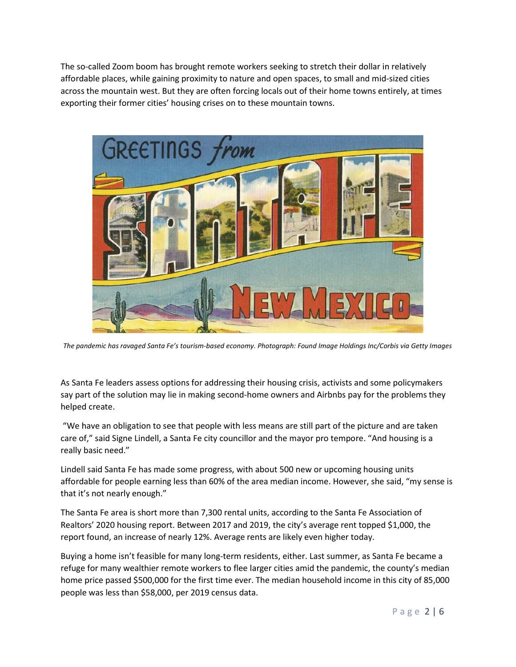The so-called Zoom boom has brought remote workers seeking to stretch their dollar in relatively affordable places, while gaining proximity to nature and open spaces, to small and mid-sized cities across the mountain west. But they are often forcing locals out of their home towns entirely, at times exporting their former cities' housing crises on to these mountain towns.



The pandemic has ravaged Santa Fe's tourism-based economy. Photograph: Found Image Holdings Inc/Corbis via Getty Images

As Santa Fe leaders assess options for addressing their housing crisis, activists and some policymakers say part of the solution may lie in making second-home owners and Airbnbs pay for the problems they helped create.

 "We have an obligation to see that people with less means are still part of the picture and are taken care of," said Signe Lindell, a Santa Fe city councillor and the mayor pro tempore. "And housing is a really basic need."

Lindell said Santa Fe has made some progress, with about 500 new or upcoming housing units affordable for people earning less than 60% of the area median income. However, she said, "my sense is that it's not nearly enough."

The Santa Fe area is short more than 7,300 rental units, according to the Santa Fe Association of Realtors' 2020 housing report. Between 2017 and 2019, the city's average rent topped \$1,000, the report found, an increase of nearly 12%. Average rents are likely even higher today.

Buying a home isn't feasible for many long-term residents, either. Last summer, as Santa Fe became a refuge for many wealthier remote workers to flee larger cities amid the pandemic, the county's median home price passed \$500,000 for the first time ever. The median household income in this city of 85,000 people was less than \$58,000, per 2019 census data.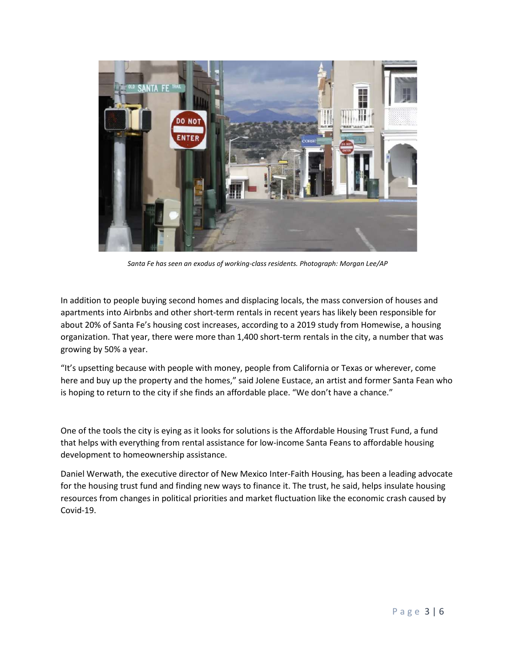

Santa Fe has seen an exodus of working-class residents. Photograph: Morgan Lee/AP

In addition to people buying second homes and displacing locals, the mass conversion of houses and apartments into Airbnbs and other short-term rentals in recent years has likely been responsible for about 20% of Santa Fe's housing cost increases, according to a 2019 study from Homewise, a housing organization. That year, there were more than 1,400 short-term rentals in the city, a number that was growing by 50% a year.

"It's upsetting because with people with money, people from California or Texas or wherever, come here and buy up the property and the homes," said Jolene Eustace, an artist and former Santa Fean who is hoping to return to the city if she finds an affordable place. "We don't have a chance."

One of the tools the city is eying as it looks for solutions is the Affordable Housing Trust Fund, a fund that helps with everything from rental assistance for low-income Santa Feans to affordable housing development to homeownership assistance.

Daniel Werwath, the executive director of New Mexico Inter-Faith Housing, has been a leading advocate for the housing trust fund and finding new ways to finance it. The trust, he said, helps insulate housing resources from changes in political priorities and market fluctuation like the economic crash caused by Covid-19.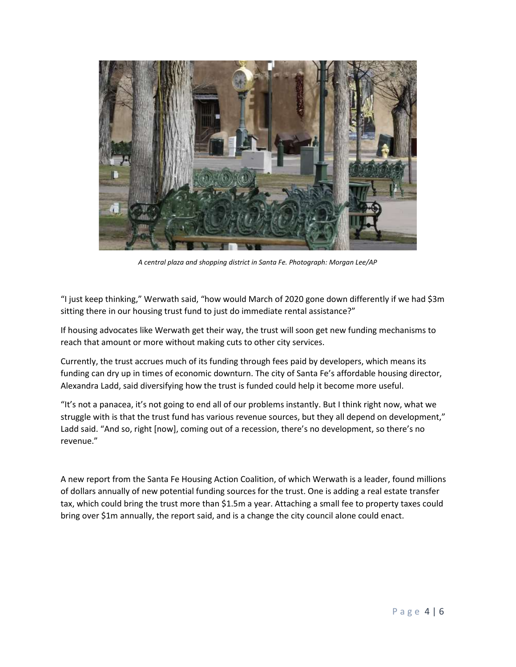

A central plaza and shopping district in Santa Fe. Photograph: Morgan Lee/AP

"I just keep thinking," Werwath said, "how would March of 2020 gone down differently if we had \$3m sitting there in our housing trust fund to just do immediate rental assistance?"

If housing advocates like Werwath get their way, the trust will soon get new funding mechanisms to reach that amount or more without making cuts to other city services.

Currently, the trust accrues much of its funding through fees paid by developers, which means its funding can dry up in times of economic downturn. The city of Santa Fe's affordable housing director, Alexandra Ladd, said diversifying how the trust is funded could help it become more useful.

"It's not a panacea, it's not going to end all of our problems instantly. But I think right now, what we struggle with is that the trust fund has various revenue sources, but they all depend on development," Ladd said. "And so, right [now], coming out of a recession, there's no development, so there's no revenue."

A new report from the Santa Fe Housing Action Coalition, of which Werwath is a leader, found millions of dollars annually of new potential funding sources for the trust. One is adding a real estate transfer tax, which could bring the trust more than \$1.5m a year. Attaching a small fee to property taxes could bring over \$1m annually, the report said, and is a change the city council alone could enact.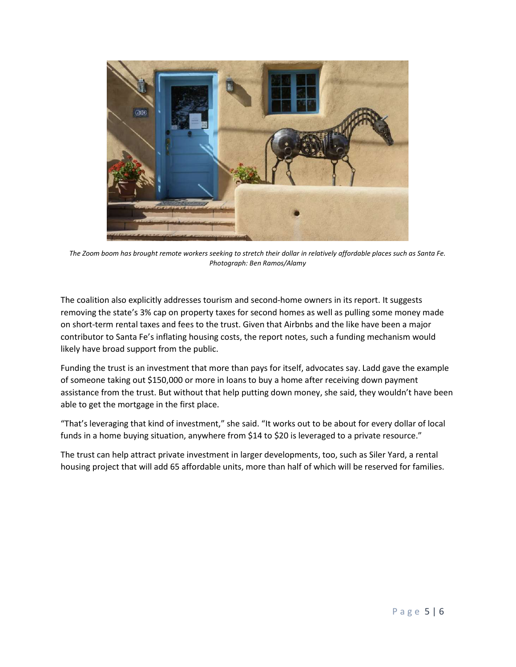

The Zoom boom has brought remote workers seeking to stretch their dollar in relatively affordable places such as Santa Fe. Photograph: Ben Ramos/Alamy

The coalition also explicitly addresses tourism and second-home owners in its report. It suggests removing the state's 3% cap on property taxes for second homes as well as pulling some money made on short-term rental taxes and fees to the trust. Given that Airbnbs and the like have been a major contributor to Santa Fe's inflating housing costs, the report notes, such a funding mechanism would likely have broad support from the public.

Funding the trust is an investment that more than pays for itself, advocates say. Ladd gave the example of someone taking out \$150,000 or more in loans to buy a home after receiving down payment assistance from the trust. But without that help putting down money, she said, they wouldn't have been able to get the mortgage in the first place.

"That's leveraging that kind of investment," she said. "It works out to be about for every dollar of local funds in a home buying situation, anywhere from \$14 to \$20 is leveraged to a private resource."

The trust can help attract private investment in larger developments, too, such as Siler Yard, a rental housing project that will add 65 affordable units, more than half of which will be reserved for families.